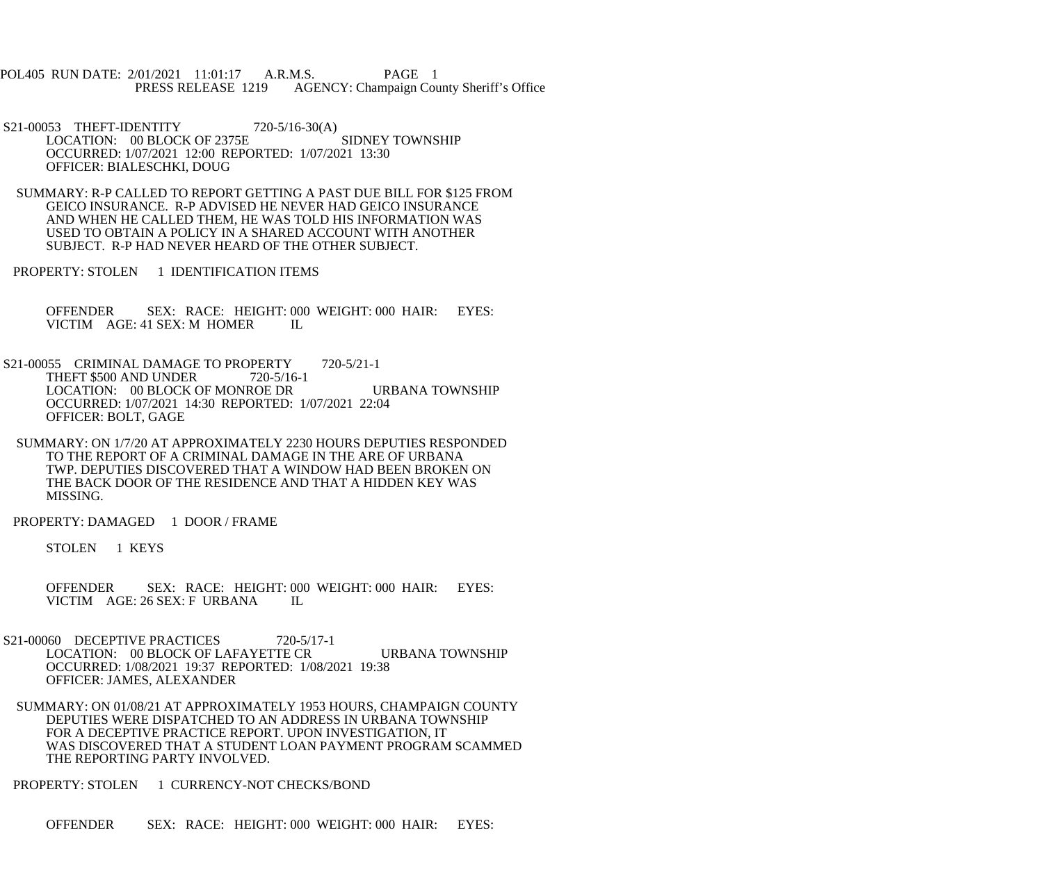POL405 RUN DATE: 2/01/2021 11:01:17 A.R.M.S. PAGE 1 PRESS RELEASE 1219 AGENCY: Champaign County Sheriff's Office

S21-00053 THEFT-IDENTITY 720-5/16-30(A) LOCATION: 00 BLOCK OF 2375E SIDNEY TOWNSHIP OCCURRED: 1/07/2021 12:00 REPORTED: 1/07/2021 13:30 OFFICER: BIALESCHKI, DOUG

 SUMMARY: R-P CALLED TO REPORT GETTING A PAST DUE BILL FOR \$125 FROM GEICO INSURANCE. R-P ADVISED HE NEVER HAD GEICO INSURANCE AND WHEN HE CALLED THEM, HE WAS TOLD HIS INFORMATION WAS USED TO OBTAIN A POLICY IN A SHARED ACCOUNT WITH ANOTHER SUBJECT. R-P HAD NEVER HEARD OF THE OTHER SUBJECT.

PROPERTY: STOLEN 1 IDENTIFICATION ITEMS

 OFFENDER SEX: RACE: HEIGHT: 000 WEIGHT: 000 HAIR: EYES: VICTIM AGE: 41 SEX: M HOMER IL

S21-00055 CRIMINAL DAMAGE TO PROPERTY 720-5/21-1 THEFT \$500 AND UNDER 720-5/16-1 LOCATION: 00 BLOCK OF MONROE DR URBANA TOWNSHIP OCCURRED: 1/07/2021 14:30 REPORTED: 1/07/2021 22:04 OFFICER: BOLT, GAGE

 SUMMARY: ON 1/7/20 AT APPROXIMATELY 2230 HOURS DEPUTIES RESPONDED TO THE REPORT OF A CRIMINAL DAMAGE IN THE ARE OF URBANA TWP. DEPUTIES DISCOVERED THAT A WINDOW HAD BEEN BROKEN ON THE BACK DOOR OF THE RESIDENCE AND THAT A HIDDEN KEY WAS MISSING.

PROPERTY: DAMAGED 1 DOOR / FRAME

STOLEN 1 KEYS

 OFFENDER SEX: RACE: HEIGHT: 000 WEIGHT: 000 HAIR: EYES: VICTIM AGE: 26 SEX: F URBANA IL

S21-00060 DECEPTIVE PRACTICES 720-5/17-1 LOCATION: 00 BLOCK OF LAFAYETTE CR URBANA TOWNSHIP OCCURRED: 1/08/2021 19:37 REPORTED: 1/08/2021 19:38 OFFICER: JAMES, ALEXANDER

 SUMMARY: ON 01/08/21 AT APPROXIMATELY 1953 HOURS, CHAMPAIGN COUNTY DEPUTIES WERE DISPATCHED TO AN ADDRESS IN URBANA TOWNSHIP FOR A DECEPTIVE PRACTICE REPORT. UPON INVESTIGATION, IT WAS DISCOVERED THAT A STUDENT LOAN PAYMENT PROGRAM SCAMMED THE REPORTING PARTY INVOLVED.

PROPERTY: STOLEN 1 CURRENCY-NOT CHECKS/BOND

OFFENDER SEX: RACE: HEIGHT: 000 WEIGHT: 000 HAIR: EYES: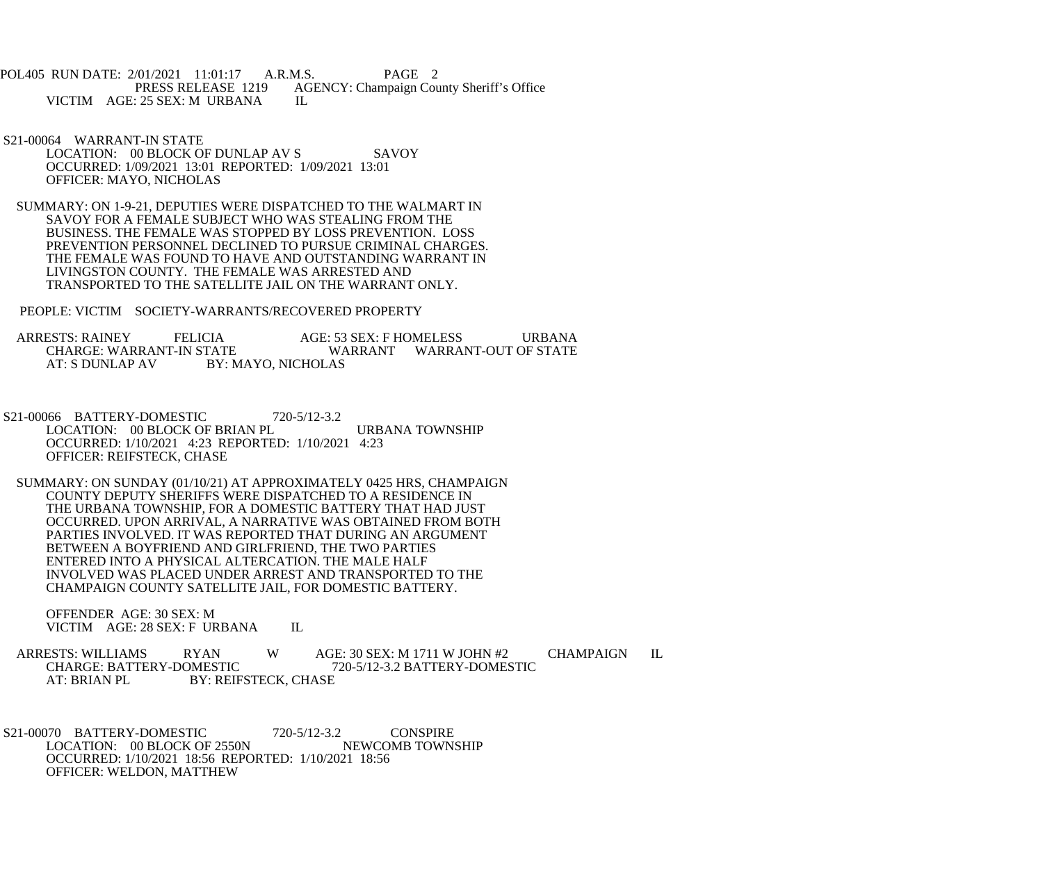POL405 RUN DATE: 2/01/2021 11:01:17 A.R.M.S. PAGE 2<br>PRESS RELEASE 1219 AGENCY: Champaign Cou AGENCY: Champaign County Sheriff's Office VICTIM AGE: 25 SEX: M URBANA IL

- S21-00064 WARRANT-IN STATE LOCATION: 00 BLOCK OF DUNLAP AV S SAVOY OCCURRED: 1/09/2021 13:01 REPORTED: 1/09/2021 13:01 OFFICER: MAYO, NICHOLAS
- SUMMARY: ON 1-9-21, DEPUTIES WERE DISPATCHED TO THE WALMART IN SAVOY FOR A FEMALE SUBJECT WHO WAS STEALING FROM THE BUSINESS. THE FEMALE WAS STOPPED BY LOSS PREVENTION. LOSS PREVENTION PERSONNEL DECLINED TO PURSUE CRIMINAL CHARGES. THE FEMALE WAS FOUND TO HAVE AND OUTSTANDING WARRANT IN LIVINGSTON COUNTY. THE FEMALE WAS ARRESTED AND TRANSPORTED TO THE SATELLITE JAIL ON THE WARRANT ONLY.
- PEOPLE: VICTIM SOCIETY-WARRANTS/RECOVERED PROPERTY

ARRESTS: RAINEY FELICIA AGE: 53 SEX: F HOMELESS URBANA CHARGE: WARRANT-IN STATE WARRANT WARRANT WARRANT-OUT OF STATE CHARGE: WARRANT-IN STATE WARRANT WARRANT-OUT OF STATE<br>AT: S DUNLAP AV BY: MAYO. NICHOLAS BY: MAYO, NICHOLAS

- S21-00066 BATTERY-DOMESTIC 720-5/12-3.2 LOCATION: 00 BLOCK OF BRIAN PL URBANA TOWNSHIP OCCURRED: 1/10/2021 4:23 REPORTED: 1/10/2021 4:23 OFFICER: REIFSTECK, CHASE
- SUMMARY: ON SUNDAY (01/10/21) AT APPROXIMATELY 0425 HRS, CHAMPAIGN COUNTY DEPUTY SHERIFFS WERE DISPATCHED TO A RESIDENCE IN THE URBANA TOWNSHIP, FOR A DOMESTIC BATTERY THAT HAD JUST OCCURRED. UPON ARRIVAL, A NARRATIVE WAS OBTAINED FROM BOTH PARTIES INVOLVED. IT WAS REPORTED THAT DURING AN ARGUMENT BETWEEN A BOYFRIEND AND GIRLFRIEND, THE TWO PARTIES ENTERED INTO A PHYSICAL ALTERCATION. THE MALE HALF INVOLVED WAS PLACED UNDER ARREST AND TRANSPORTED TO THE CHAMPAIGN COUNTY SATELLITE JAIL, FOR DOMESTIC BATTERY.

 OFFENDER AGE: 30 SEX: M VICTIM AGE: 28 SEX: F URBANA IL

ARRESTS: WILLIAMS RYAN W AGE: 30 SEX: M 1711 W JOHN #2 CHAMPAIGN IL CHARGE: BATTERY-DOMESTIC 720-5/12-3.2 BATTERY-DOMESTIC CHARGE: BATTERY-DOMESTIC 720-5/12-3.2 BATTERY-DOMESTIC AT: BRIAN PL BY: REIFSTECK, CHASE

S21-00070 BATTERY-DOMESTIC 720-5/12-3.2 CONSPIRE<br>LOCATION: 00 BLOCK OF 2550N NEWCOMB TOWNSHIP LOCATION: 00 BLOCK OF 2550N OCCURRED: 1/10/2021 18:56 REPORTED: 1/10/2021 18:56 OFFICER: WELDON, MATTHEW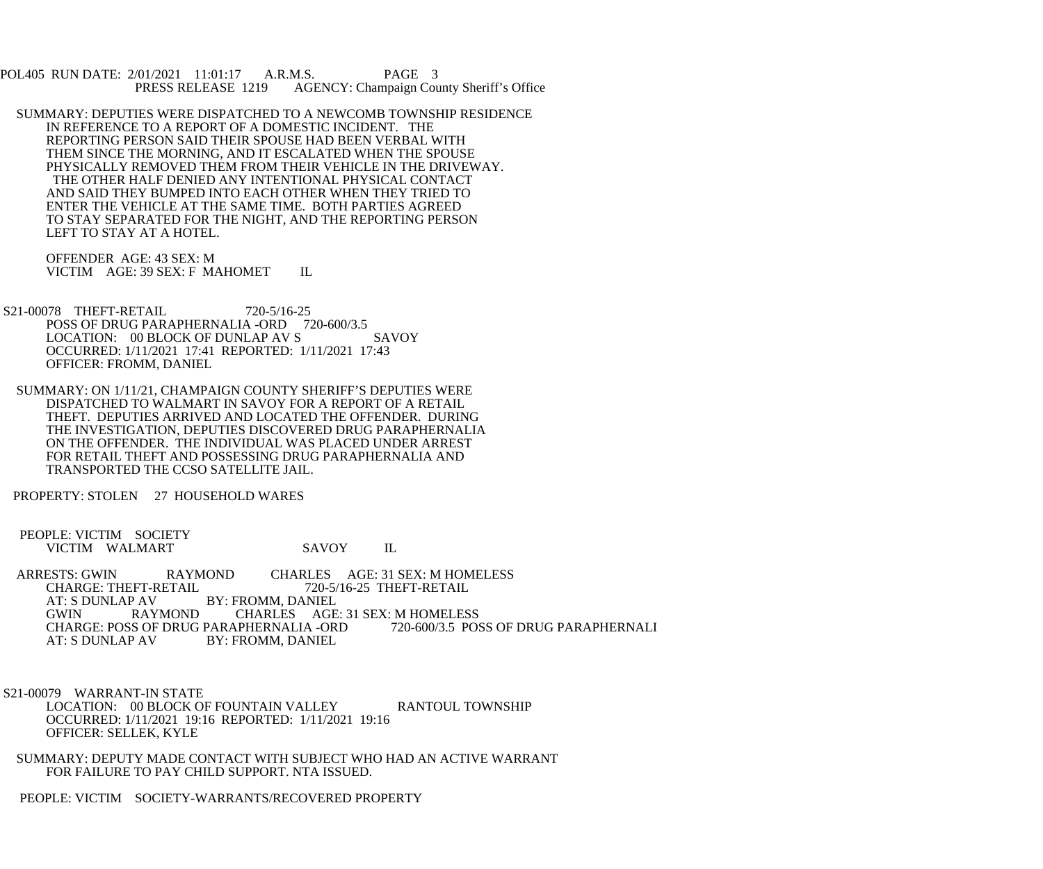POL405 RUN DATE: 2/01/2021 11:01:17 A.R.M.S. PAGE 3<br>PRESS RELEASE 1219 AGENCY: Champaign Cou AGENCY: Champaign County Sheriff's Office

 SUMMARY: DEPUTIES WERE DISPATCHED TO A NEWCOMB TOWNSHIP RESIDENCE IN REFERENCE TO A REPORT OF A DOMESTIC INCIDENT. THE REPORTING PERSON SAID THEIR SPOUSE HAD BEEN VERBAL WITH THEM SINCE THE MORNING, AND IT ESCALATED WHEN THE SPOUSE PHYSICALLY REMOVED THEM FROM THEIR VEHICLE IN THE DRIVEWAY. THE OTHER HALF DENIED ANY INTENTIONAL PHYSICAL CONTACT AND SAID THEY BUMPED INTO EACH OTHER WHEN THEY TRIED TO ENTER THE VEHICLE AT THE SAME TIME. BOTH PARTIES AGREED TO STAY SEPARATED FOR THE NIGHT, AND THE REPORTING PERSON LEFT TO STAY AT A HOTEL.

 OFFENDER AGE: 43 SEX: M VICTIM AGE: 39 SEX: F MAHOMET IL

- S21-00078 THEFT-RETAIL 720-5/16-25 POSS OF DRUG PARAPHERNALIA -ORD 720-600/3.5 LOCATION: 00 BLOCK OF DUNLAP AV S SAVOY OCCURRED: 1/11/2021 17:41 REPORTED: 1/11/2021 17:43 OFFICER: FROMM, DANIEL
- SUMMARY: ON 1/11/21, CHAMPAIGN COUNTY SHERIFF'S DEPUTIES WERE DISPATCHED TO WALMART IN SAVOY FOR A REPORT OF A RETAIL THEFT. DEPUTIES ARRIVED AND LOCATED THE OFFENDER. DURING THE INVESTIGATION, DEPUTIES DISCOVERED DRUG PARAPHERNALIA ON THE OFFENDER. THE INDIVIDUAL WAS PLACED UNDER ARREST FOR RETAIL THEFT AND POSSESSING DRUG PARAPHERNALIA AND TRANSPORTED THE CCSO SATELLITE JAIL.

PROPERTY: STOLEN 27 HOUSEHOLD WARES

- PEOPLE: VICTIM SOCIETY VICTIM WALMART SAVOY IL
- ARRESTS: GWIN RAYMOND CHARLES AGE: 31 SEX: M HOMELESS<br>CHARGE: THEFT-RETAIL 720-5/16-25 THEFT-RETAIL CHARGE: THEFT-RETAIL 720-5/16-25 THEFT-RETAIL<br>AT: S DUNLAP AV BY: FROMM. DANIEL AT: S DUNLAP AV BY: FROMM, DANIEL<br>GWIN RAYMOND CHARLES AGE CHARLES AGE: 31 SEX: M HOMELESS<br>APHERNALIA -ORD 720-600/3.5 POSS OF DRUG PARAPHERNALI CHARGE: POSS OF DRUG PARAPHERNALIA -ORD<br>AT: S DUNLAP AV BY: FROMM. DANIEL BY: FROMM, DANIEL

 S21-00079 WARRANT-IN STATE LOCATION: 00 BLOCK OF FOUNTAIN VALLEY RANTOUL TOWNSHIP OCCURRED: 1/11/2021 19:16 REPORTED: 1/11/2021 19:16 OFFICER: SELLEK, KYLE

 SUMMARY: DEPUTY MADE CONTACT WITH SUBJECT WHO HAD AN ACTIVE WARRANT FOR FAILURE TO PAY CHILD SUPPORT. NTA ISSUED.

PEOPLE: VICTIM SOCIETY-WARRANTS/RECOVERED PROPERTY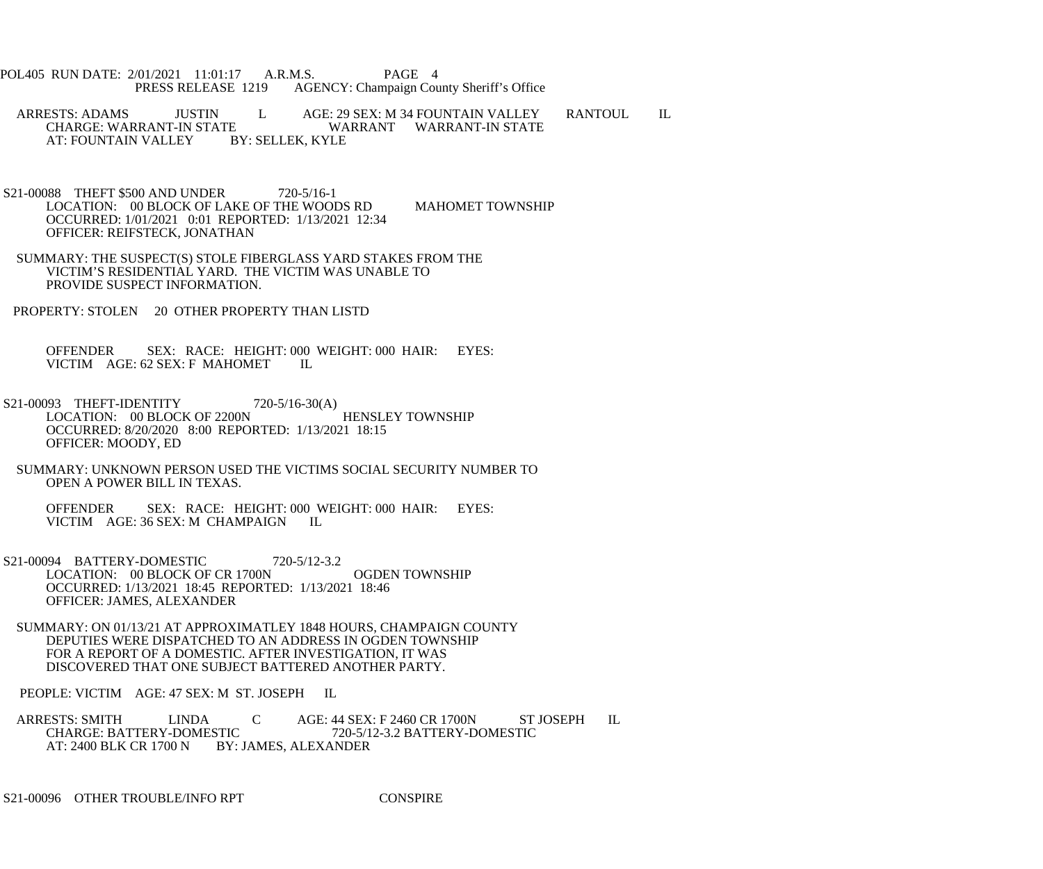POL405 RUN DATE: 2/01/2021 11:01:17 A.R.M.S. PAGE 4<br>PRESS RELEASE 1219 AGENCY: Champaign Cou AGENCY: Champaign County Sheriff's Office

ARRESTS: ADAMS JUSTIN L AGE: 29 SEX: M 34 FOUNTAIN VALLEY RANTOUL IL CHARGE: WARRANT-IN STATE E WARRANT WARRANT-IN STATE BY: SELLEK, KYLE AT: FOUNTAIN VALLEY

- S21-00088 THEFT \$500 AND UNDER 720-5/16-1 LOCATION: 00 BLOCK OF LAKE OF THE WOODS RD MAHOMET TOWNSHIP OCCURRED: 1/01/2021 0:01 REPORTED: 1/13/2021 12:34 OFFICER: REIFSTECK, JONATHAN
- SUMMARY: THE SUSPECT(S) STOLE FIBERGLASS YARD STAKES FROM THE VICTIM'S RESIDENTIAL YARD. THE VICTIM WAS UNABLE TO PROVIDE SUSPECT INFORMATION.
- PROPERTY: STOLEN 20 OTHER PROPERTY THAN LISTD

 OFFENDER SEX: RACE: HEIGHT: 000 WEIGHT: 000 HAIR: EYES: VICTIM AGE: 62 SEX: F MAHOMET IL

- S21-00093 THEFT-IDENTITY 720-5/16-30(A) LOCATION: 00 BLOCK OF 2200N HENSLEY TOWNSHIP OCCURRED: 8/20/2020 8:00 REPORTED: 1/13/2021 18:15 OFFICER: MOODY, ED
- SUMMARY: UNKNOWN PERSON USED THE VICTIMS SOCIAL SECURITY NUMBER TO OPEN A POWER BILL IN TEXAS.

 OFFENDER SEX: RACE: HEIGHT: 000 WEIGHT: 000 HAIR: EYES: VICTIM AGE: 36 SEX: M CHAMPAIGN IL

- S21-00094 BATTERY-DOMESTIC 720-5/12-3.2 LOCATION: 00 BLOCK OF CR 1700N OGDEN TOWNSHIP OCCURRED: 1/13/2021 18:45 REPORTED: 1/13/2021 18:46 OFFICER: JAMES, ALEXANDER
- SUMMARY: ON 01/13/21 AT APPROXIMATLEY 1848 HOURS, CHAMPAIGN COUNTY DEPUTIES WERE DISPATCHED TO AN ADDRESS IN OGDEN TOWNSHIP FOR A REPORT OF A DOMESTIC. AFTER INVESTIGATION, IT WAS DISCOVERED THAT ONE SUBJECT BATTERED ANOTHER PARTY.

PEOPLE: VICTIM AGE: 47 SEX: M ST. JOSEPH IL

ARRESTS: SMITH LINDA C AGE: 44 SEX: F 2460 CR 1700N ST JOSEPH IL<br>CHARGE: BATTERY-DOMESTIC 720-5/12-3.2 BATTERY-DOMESTIC CHARGE: BATTERY-DOMESTIC 720-5/12-3.2 BATTERY-DOMESTIC<br>AT: 2400 BLK CR 1700 N BY: JAMES, ALEXANDER BY: JAMES, ALEXANDER

S21-00096 OTHER TROUBLE/INFO RPT CONSPIRE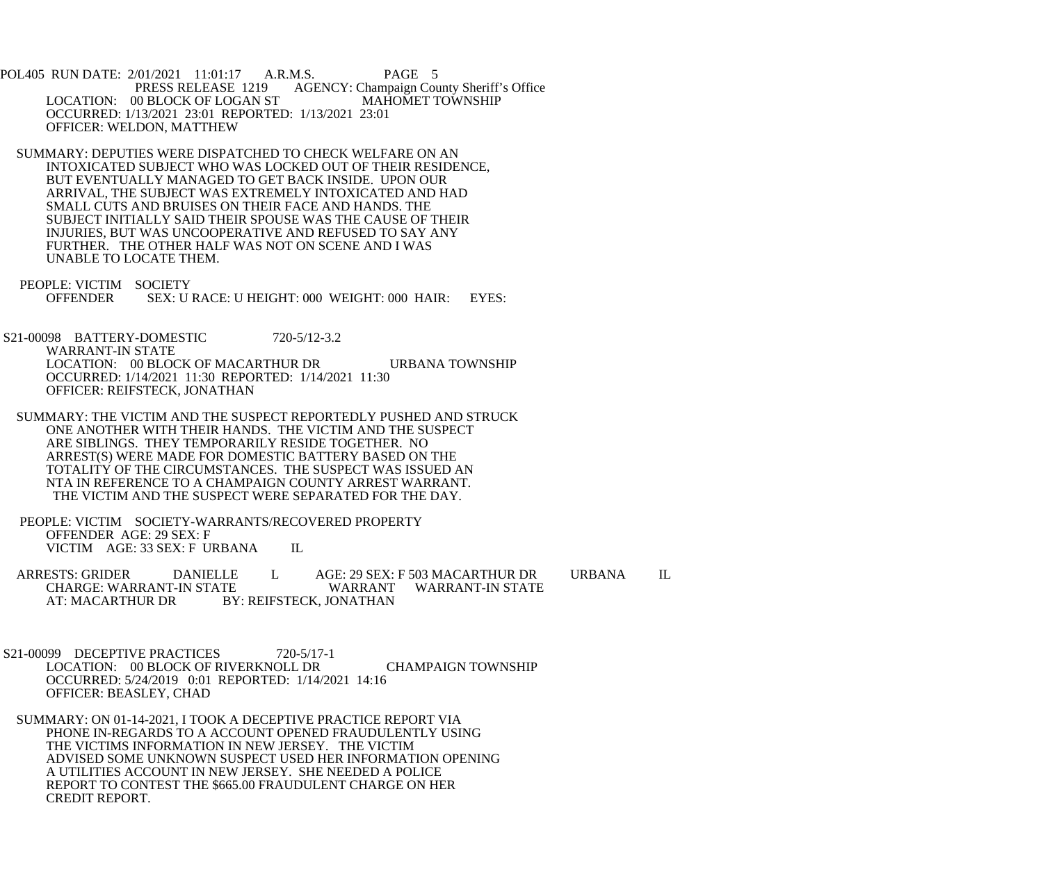POL405 RUN DATE: 2/01/2021 11:01:17 A.R.M.S. PAGE 5<br>PRESS RELEASE 1219 AGENCY: Champaign Cou AGENCY: Champaign County Sheriff's Office<br>MAHOMET TOWNSHIP LOCATION: 00 BLOCK OF LOGAN ST OCCURRED: 1/13/2021 23:01 REPORTED: 1/13/2021 23:01 OFFICER: WELDON, MATTHEW

 SUMMARY: DEPUTIES WERE DISPATCHED TO CHECK WELFARE ON AN INTOXICATED SUBJECT WHO WAS LOCKED OUT OF THEIR RESIDENCE, BUT EVENTUALLY MANAGED TO GET BACK INSIDE. UPON OUR ARRIVAL, THE SUBJECT WAS EXTREMELY INTOXICATED AND HAD SMALL CUTS AND BRUISES ON THEIR FACE AND HANDS. THE SUBJECT INITIALLY SAID THEIR SPOUSE WAS THE CAUSE OF THEIR INJURIES, BUT WAS UNCOOPERATIVE AND REFUSED TO SAY ANY FURTHER. THE OTHER HALF WAS NOT ON SCENE AND I WAS UNABLE TO LOCATE THEM.

 PEOPLE: VICTIM SOCIETY OFFENDER SEX: U RACE: U HEIGHT: 000 WEIGHT: 000 HAIR: EYES:

 S21-00098 BATTERY-DOMESTIC 720-5/12-3.2 WARRANT-IN STATE LOCATION: 00 BLOCK OF MACARTHUR DR URBANA TOWNSHIP OCCURRED: 1/14/2021 11:30 REPORTED: 1/14/2021 11:30 OFFICER: REIFSTECK, JONATHAN

 SUMMARY: THE VICTIM AND THE SUSPECT REPORTEDLY PUSHED AND STRUCK ONE ANOTHER WITH THEIR HANDS. THE VICTIM AND THE SUSPECT ARE SIBLINGS. THEY TEMPORARILY RESIDE TOGETHER. NO ARREST(S) WERE MADE FOR DOMESTIC BATTERY BASED ON THE TOTALITY OF THE CIRCUMSTANCES. THE SUSPECT WAS ISSUED AN NTA IN REFERENCE TO A CHAMPAIGN COUNTY ARREST WARRANT. THE VICTIM AND THE SUSPECT WERE SEPARATED FOR THE DAY.

 PEOPLE: VICTIM SOCIETY-WARRANTS/RECOVERED PROPERTY OFFENDER AGE: 29 SEX: F VICTIM AGE: 33 SEX: F URBANA IL

 ARRESTS: GRIDER DANIELLE L AGE: 29 SEX: F 503 MACARTHUR DR URBANA IL CHARGE: WARRANT-IN STATE WARRANT WARRANT-IN STATE AT: MACARTHUR DR BY: REIFSTECK, JONATHAN

S21-00099 DECEPTIVE PRACTICES 720-5/17-1 LOCATION: 00 BLOCK OF RIVERKNOLL DR CHAMPAIGN TOWNSHIP OCCURRED: 5/24/2019 0:01 REPORTED: 1/14/2021 14:16 OFFICER: BEASLEY, CHAD

 SUMMARY: ON 01-14-2021, I TOOK A DECEPTIVE PRACTICE REPORT VIA PHONE IN-REGARDS TO A ACCOUNT OPENED FRAUDULENTLY USING THE VICTIMS INFORMATION IN NEW JERSEY. THE VICTIM ADVISED SOME UNKNOWN SUSPECT USED HER INFORMATION OPENING A UTILITIES ACCOUNT IN NEW JERSEY. SHE NEEDED A POLICE REPORT TO CONTEST THE \$665.00 FRAUDULENT CHARGE ON HER CREDIT REPORT.